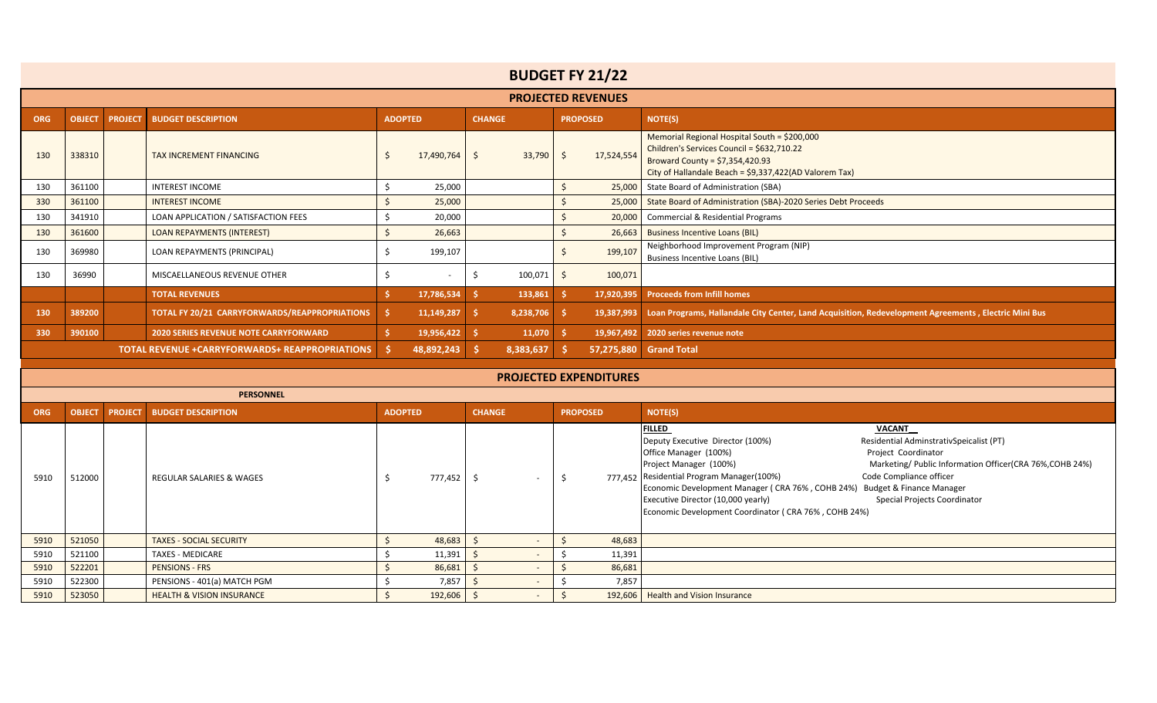|            |               |                |                                                       |                |            |               |                                                               |    | <b>BUDGET FY 21/22</b>        |                                                                                                                                                                                          |  |  |  |  |  |  |
|------------|---------------|----------------|-------------------------------------------------------|----------------|------------|---------------|---------------------------------------------------------------|----|-------------------------------|------------------------------------------------------------------------------------------------------------------------------------------------------------------------------------------|--|--|--|--|--|--|
|            |               |                |                                                       |                |            |               |                                                               |    | <b>PROJECTED REVENUES</b>     |                                                                                                                                                                                          |  |  |  |  |  |  |
| <b>ORG</b> | <b>OBJECT</b> | <b>PROJECT</b> | <b>BUDGET DESCRIPTION</b>                             | <b>ADOPTED</b> |            | <b>CHANGE</b> |                                                               |    | <b>PROPOSED</b>               | NOTE(S)                                                                                                                                                                                  |  |  |  |  |  |  |
| 130        | 338310        |                | <b>TAX INCREMENT FINANCING</b>                        | Ŝ.             | 17,490,764 | Ŝ.            | 33,790                                                        | S. | 17,524,554                    | Memorial Regional Hospital South = \$200,000<br>Children's Services Council = \$632,710.22<br>Broward County = $$7,354,420.93$<br>City of Hallandale Beach = \$9,337,422(AD Valorem Tax) |  |  |  |  |  |  |
| 130        | 361100        |                | <b>INTEREST INCOME</b>                                | Ŝ.             | 25,000     | 25,000        | State Board of Administration (SBA)                           |    |                               |                                                                                                                                                                                          |  |  |  |  |  |  |
| 330        | 361100        |                | <b>INTEREST INCOME</b>                                |                | 25,000     | 25,000        | State Board of Administration (SBA)-2020 Series Debt Proceeds |    |                               |                                                                                                                                                                                          |  |  |  |  |  |  |
| 130        | 341910        |                | LOAN APPLICATION / SATISFACTION FEES                  |                | 20,000     | 20,000        | Commercial & Residential Programs                             |    |                               |                                                                                                                                                                                          |  |  |  |  |  |  |
| 130        | 361600        |                | <b>LOAN REPAYMENTS (INTEREST)</b>                     |                | 26,663     |               |                                                               |    | 26,663                        | <b>Business Incentive Loans (BIL)</b>                                                                                                                                                    |  |  |  |  |  |  |
| 130        | 369980        |                | LOAN REPAYMENTS (PRINCIPAL)                           |                | 199,107    |               |                                                               |    | 199,107                       | Neighborhood Improvement Program (NIP)<br><b>Business Incentive Loans (BIL)</b>                                                                                                          |  |  |  |  |  |  |
| 130        | 36990         |                | MISCAELLANEOUS REVENUE OTHER                          |                | $\sim$     | Ŝ             | 100,071                                                       | Ŝ. | 100,071                       |                                                                                                                                                                                          |  |  |  |  |  |  |
|            |               |                | <b>TOTAL REVENUES</b>                                 |                | 17,786,534 | Š.            | 133,861                                                       |    |                               | 17,920,395 Proceeds from Infill homes                                                                                                                                                    |  |  |  |  |  |  |
| 130        | 389200        |                | TOTAL FY 20/21 CARRYFORWARDS/REAPPROPRIATIONS         | Š.             | 11,149,287 | Š.            | 8,238,706                                                     | s. | 19,387,993                    | Loan Programs, Hallandale City Center, Land Acquisition, Redevelopment Agreements, Electric Mini Bus                                                                                     |  |  |  |  |  |  |
| 330        | 390100        |                | <b>2020 SERIES REVENUE NOTE CARRYFORWARD</b>          |                | 19,956,422 |               | 11,070                                                        |    | 19,967,492                    | 2020 series revenue note                                                                                                                                                                 |  |  |  |  |  |  |
|            |               |                | <b>TOTAL REVENUE +CARRYFORWARDS+ REAPPROPRIATIONS</b> |                | 48,892,243 |               | 8,383,637                                                     |    | 57,275,880                    | <b>Grand Total</b>                                                                                                                                                                       |  |  |  |  |  |  |
|            |               |                |                                                       |                |            |               |                                                               |    |                               |                                                                                                                                                                                          |  |  |  |  |  |  |
|            |               |                |                                                       |                |            |               |                                                               |    | <b>PROJECTED EXPENDITURES</b> |                                                                                                                                                                                          |  |  |  |  |  |  |
|            |               |                | <b>PERSONNEL</b>                                      |                |            |               |                                                               |    |                               |                                                                                                                                                                                          |  |  |  |  |  |  |
| <b>ORG</b> | <b>OBJECT</b> | <b>PROJECT</b> | <b>BUDGET DESCRIPTION</b>                             | <b>ADOPTED</b> |            |               | <b>CHANGE</b>                                                 |    | <b>PROPOSED</b>               | <b>NOTE(S)</b>                                                                                                                                                                           |  |  |  |  |  |  |
|            |               |                |                                                       |                |            |               |                                                               |    |                               | <b>FILLED</b><br>VACANT<br>Residential AdminstrativSpeicalist (PT)<br>Deputy Executive Director (100%)                                                                                   |  |  |  |  |  |  |

| 5910 | 512000 | REGULAR SALARIES & WAGES             | 777,452 |        | Deputy Executive Director (100%)<br>Residential AdminstrativSpeicalist (PT)<br>Office Manager (100%)<br>Project Coordinator<br>Marketing/ Public Information Officer(CRA 76%, COHB 24%)<br>Project Manager (100%)<br>Code Compliance officer<br>777,452 Residential Program Manager(100%)<br>Economic Development Manager (CRA 76%, COHB 24%) Budget & Finance Manager<br>Executive Director (10,000 yearly)<br>Special Projects Coordinator<br>Economic Development Coordinator (CRA 76%, COHB 24%) |
|------|--------|--------------------------------------|---------|--------|------------------------------------------------------------------------------------------------------------------------------------------------------------------------------------------------------------------------------------------------------------------------------------------------------------------------------------------------------------------------------------------------------------------------------------------------------------------------------------------------------|
| 5910 | 521050 | <b>TAXES - SOCIAL SECURITY</b>       | 48,683  | 48,683 |                                                                                                                                                                                                                                                                                                                                                                                                                                                                                                      |
| 5910 | 521100 | TAXES - MEDICARE                     | 11,391  | 11,391 |                                                                                                                                                                                                                                                                                                                                                                                                                                                                                                      |
| 5910 | 522201 | <b>PENSIONS - FRS</b>                | 86,681  | 86,681 |                                                                                                                                                                                                                                                                                                                                                                                                                                                                                                      |
| 5910 | 522300 | PENSIONS - 401(a) MATCH PGM          | 7,857   | 7,857  |                                                                                                                                                                                                                                                                                                                                                                                                                                                                                                      |
| 5910 | 523050 | <b>HEALTH &amp; VISION INSURANCE</b> | 192,606 |        | 192,606   Health and Vision Insurance                                                                                                                                                                                                                                                                                                                                                                                                                                                                |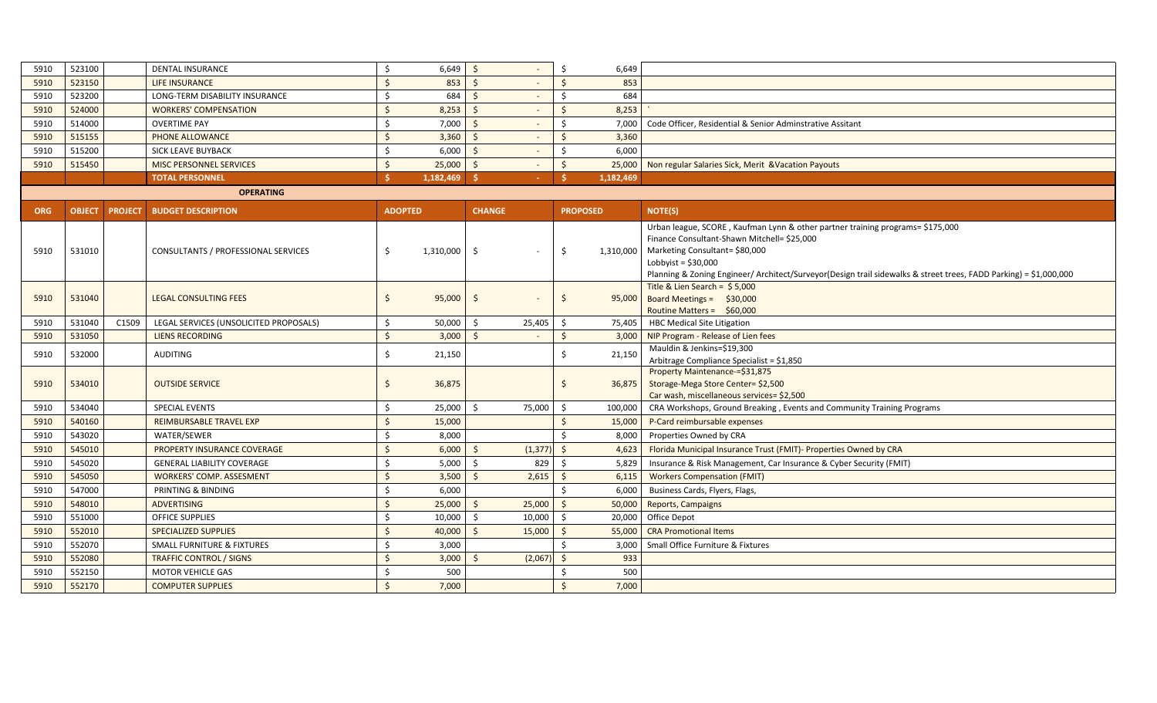|                                                                              | DENTAL INSURANCE             |                                |        |                    | 6,649     |                                                                   |
|------------------------------------------------------------------------------|------------------------------|--------------------------------|--------|--------------------|-----------|-------------------------------------------------------------------|
|                                                                              | LIFE INSURANCE               |                                | 853    |                    | 853       |                                                                   |
|                                                                              |                              |                                | 684    |                    | 684       |                                                                   |
|                                                                              | <b>WORKERS' COMPENSATION</b> |                                | 8,253  |                    | 8,253     |                                                                   |
|                                                                              | <b>OVERTIME PAY</b>          |                                | 7,000  |                    |           | 7,000   Code Officer, Residential & Senior Adminstrative Assitant |
|                                                                              | PHONE ALLOWANCE              |                                | 3,360  |                    | 3,360     |                                                                   |
|                                                                              | SICK LEAVE BUYBACK           |                                | 6,000  |                    | 6,000     |                                                                   |
|                                                                              | MISC PERSONNEL SERVICES      |                                | 25,000 |                    |           | 25,000   Non regular Salaries Sick, Merit & Vacation Payouts      |
|                                                                              | <b>TOTAL PERSONNEL</b>       |                                |        |                    | 1,182,469 |                                                                   |
| 523100<br>523150<br>523200<br>524000<br>514000<br>515155<br>515200<br>515450 |                              | LONG-TERM DISABILITY INSURANCE |        | 6,649<br>1,182,469 |           |                                                                   |

| <b>OPERATING</b> |  |  |  |  |
|------------------|--|--|--|--|
|                  |  |  |  |  |
|                  |  |  |  |  |

| <b>ORG</b> | <b>OBJECT</b> |       | <b>PROJECT BUDGET DESCRIPTION</b>      | <b>ADOPTED</b> |           | <b>CHANGE</b> |                              | <b>PROPOSED</b> |           | <b>NOTE(S)</b>                                                                                                                                                                                                                                                                                               |
|------------|---------------|-------|----------------------------------------|----------------|-----------|---------------|------------------------------|-----------------|-----------|--------------------------------------------------------------------------------------------------------------------------------------------------------------------------------------------------------------------------------------------------------------------------------------------------------------|
| 5910       | 531010        |       | CONSULTANTS / PROFESSIONAL SERVICES    | Ŝ.             | 1,310,000 | Ŝ.            | $\blacksquare$               | Ŝ.              | 1,310,000 | Urban league, SCORE, Kaufman Lynn & other partner training programs= \$175,000<br>Finance Consultant-Shawn Mitchell= \$25,000<br>Marketing Consultant= \$80,000<br>Lobbyist = $$30,000$<br>Planning & Zoning Engineer/ Architect/Surveyor(Design trail sidewalks & street trees, FADD Parking) = \$1,000,000 |
| 5910       | 531040        |       | <b>LEGAL CONSULTING FEES</b>           | -S             | 95,000    | -Ś            | $\qquad \qquad \blacksquare$ | -Ś              | 95,000    | Title & Lien Search = $$5,000$<br>Board Meetings = $$30,000$<br>Routine Matters = \$60,000                                                                                                                                                                                                                   |
| 5910       | 531040        | C1509 | LEGAL SERVICES (UNSOLICITED PROPOSALS) | -Ś             | 50,000    | -Ś            | 25,405                       | -Ś              | 75,405    | <b>HBC Medical Site Litigation</b>                                                                                                                                                                                                                                                                           |
| 5910       | 531050        |       | <b>LIENS RECORDING</b>                 |                | 3,000     |               |                              |                 |           | 3,000   NIP Program - Release of Lien fees                                                                                                                                                                                                                                                                   |
| 5910       | 532000        |       | <b>AUDITING</b>                        |                | 21,150    |               |                              |                 | 21,150    | Mauldin & Jenkins=\$19,300<br>Arbitrage Compliance Specialist = \$1,850                                                                                                                                                                                                                                      |
| 5910       | 534010        |       | <b>OUTSIDE SERVICE</b>                 |                | 36,875    |               |                              |                 | 36,875    | Property Maintenance-=\$31,875<br>Storage-Mega Store Center= \$2,500<br>Car wash, miscellaneous services= \$2,500                                                                                                                                                                                            |
| 5910       | 534040        |       | <b>SPECIAL EVENTS</b>                  |                | 25,000    |               | 75,000                       |                 | 100,000   | CRA Workshops, Ground Breaking, Events and Community Training Programs                                                                                                                                                                                                                                       |
| 5910       | 540160        |       | <b>REIMBURSABLE TRAVEL EXP</b>         |                | 15,000    |               |                              |                 | 15,000    | P-Card reimbursable expenses                                                                                                                                                                                                                                                                                 |
| 5910       | 543020        |       | WATER/SEWER                            |                | 8,000     |               |                              |                 | 8,000     | Properties Owned by CRA                                                                                                                                                                                                                                                                                      |
| 5910       | 545010        |       | PROPERTY INSURANCE COVERAGE            |                | 6,000     |               | (1, 377)                     |                 | 4.623     | Florida Municipal Insurance Trust (FMIT)- Properties Owned by CRA                                                                                                                                                                                                                                            |
| 5910       | 545020        |       | <b>GENERAL LIABILITY COVERAGE</b>      |                | 5,000     |               | 829                          |                 | 5.829     | Insurance & Risk Management, Car Insurance & Cyber Security (FMIT)                                                                                                                                                                                                                                           |
| 5910       | 545050        |       | <b>WORKERS' COMP. ASSESMENT</b>        |                | 3,500     |               | 2,615                        |                 | 6,115     | <b>Workers Compensation (FMIT)</b>                                                                                                                                                                                                                                                                           |
| 5910       | 547000        |       | PRINTING & BINDING                     |                | 6,000     |               |                              |                 | 6,000     | Business Cards, Flyers, Flags,                                                                                                                                                                                                                                                                               |
| 5910       | 548010        |       | <b>ADVERTISING</b>                     | -Ś             | 25,000    | $\zeta$       | 25,000                       | -Ś              | 50,000    | Reports, Campaigns                                                                                                                                                                                                                                                                                           |
| 5910       | 551000        |       | <b>OFFICE SUPPLIES</b>                 |                | 10,000    |               | 10,000                       |                 | 20,000    | Office Depot                                                                                                                                                                                                                                                                                                 |
| 5910       | 552010        |       | <b>SPECIALIZED SUPPLIES</b>            |                | 40,000    |               | 15,000                       |                 | 55,000    | <b>CRA Promotional Items</b>                                                                                                                                                                                                                                                                                 |
| 5910       | 552070        |       | <b>SMALL FURNITURE &amp; FIXTURES</b>  |                | 3,000     |               |                              |                 |           | 3,000   Small Office Furniture & Fixtures                                                                                                                                                                                                                                                                    |
| 5910       | 552080        |       | <b>TRAFFIC CONTROL / SIGNS</b>         |                | 3,000     |               | (2,067)                      |                 | 933       |                                                                                                                                                                                                                                                                                                              |
| 5910       | 552150        |       | <b>MOTOR VEHICLE GAS</b>               |                | 500       |               |                              |                 | 500       |                                                                                                                                                                                                                                                                                                              |
| 5910       | 552170        |       | <b>COMPUTER SUPPLIES</b>               |                | 7,000     |               |                              |                 | 7,000     |                                                                                                                                                                                                                                                                                                              |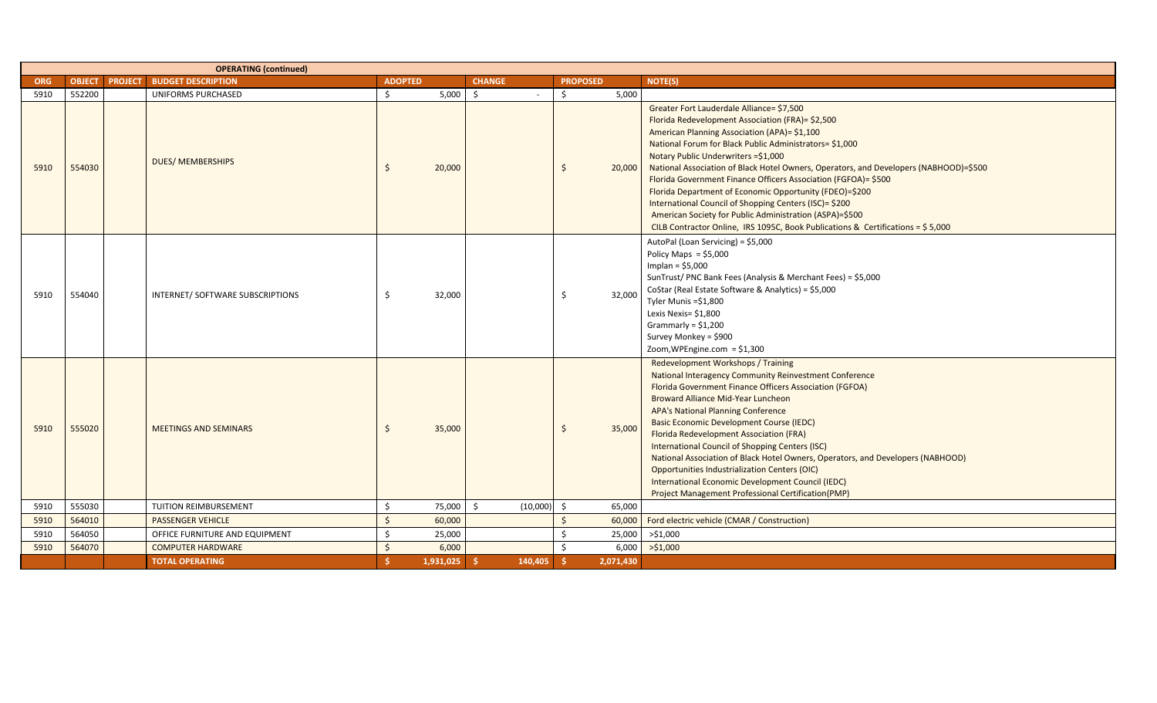|            |               | <b>OPERATING (continued)</b>      |                    |           |                |                 |           |                                                                                                                                                                                                                                                                                                                                                                                                                                                                                                                                                                                                                                                                                |
|------------|---------------|-----------------------------------|--------------------|-----------|----------------|-----------------|-----------|--------------------------------------------------------------------------------------------------------------------------------------------------------------------------------------------------------------------------------------------------------------------------------------------------------------------------------------------------------------------------------------------------------------------------------------------------------------------------------------------------------------------------------------------------------------------------------------------------------------------------------------------------------------------------------|
| <b>ORG</b> | <b>OBJECT</b> | <b>PROJECT BUDGET DESCRIPTION</b> | <b>ADOPTED</b>     |           | <b>CHANGE</b>  | <b>PROPOSED</b> |           | <b>NOTE(S)</b>                                                                                                                                                                                                                                                                                                                                                                                                                                                                                                                                                                                                                                                                 |
| 5910       | 552200        | <b>UNIFORMS PURCHASED</b>         | \$                 | 5,000     | \$<br>$\sim$   | \$              | 5,000     |                                                                                                                                                                                                                                                                                                                                                                                                                                                                                                                                                                                                                                                                                |
| 5910       | 554030        | <b>DUES/ MEMBERSHIPS</b>          | \$                 | 20,000    |                | Ŝ.              | 20,000    | Greater Fort Lauderdale Alliance= \$7,500<br>Florida Redevelopment Association (FRA)= \$2,500<br>American Planning Association (APA)= \$1,100<br>National Forum for Black Public Administrators= \$1,000<br>Notary Public Underwriters = \$1,000<br>National Association of Black Hotel Owners, Operators, and Developers (NABHOOD)=\$500<br>Florida Government Finance Officers Association (FGFOA)= \$500<br>Florida Department of Economic Opportunity (FDEO)=\$200<br>International Council of Shopping Centers (ISC)= \$200<br>American Society for Public Administration (ASPA)=\$500<br>CILB Contractor Online, IRS 1095C, Book Publications & Certifications = \$5,000 |
| 5910       | 554040        | INTERNET/ SOFTWARE SUBSCRIPTIONS  | Ś.                 | 32,000    |                | Ŝ.              | 32,000    | AutoPal (Loan Servicing) = \$5,000<br>Policy Maps = $$5,000$<br>Implan = $$5,000$<br>SunTrust/ PNC Bank Fees (Analysis & Merchant Fees) = \$5,000<br>CoStar (Real Estate Software & Analytics) = \$5,000<br>Tyler Munis =\$1,800<br>Lexis Nexis= \$1,800<br>Grammarly = $$1,200$<br>Survey Monkey = \$900<br>Zoom, WPEngine.com = \$1,300                                                                                                                                                                                                                                                                                                                                      |
| 5910       | 555020        | <b>MEETINGS AND SEMINARS</b>      | Ś.                 | 35,000    |                | Ŝ               | 35,000    | Redevelopment Workshops / Training<br>National Interagency Community Reinvestment Conference<br>Florida Government Finance Officers Association (FGFOA)<br>Broward Alliance Mid-Year Luncheon<br><b>APA's National Planning Conference</b><br><b>Basic Economic Development Course (IEDC)</b><br>Florida Redevelopment Association (FRA)<br>International Council of Shopping Centers (ISC)<br>National Association of Black Hotel Owners, Operators, and Developers (NABHOOD)<br><b>Opportunities Industrialization Centers (OIC)</b><br>International Economic Development Council (IEDC)<br><b>Project Management Professional Certification (PMP)</b>                      |
| 5910       | 555030        | TUITION REIMBURSEMENT             | Ś.                 | 75,000    | (10,000)<br>\$ | \$              | 65,000    |                                                                                                                                                                                                                                                                                                                                                                                                                                                                                                                                                                                                                                                                                |
| 5910       | 564010        | <b>PASSENGER VEHICLE</b>          | $\mathsf{\hat{S}}$ | 60,000    |                | $\mathsf{S}$    | 60,000    | Ford electric vehicle (CMAR / Construction)                                                                                                                                                                                                                                                                                                                                                                                                                                                                                                                                                                                                                                    |
| 5910       | 564050        | OFFICE FURNITURE AND EQUIPMENT    | Ś.                 | 25,000    |                | Š.              | 25,000    | >\$1,000                                                                                                                                                                                                                                                                                                                                                                                                                                                                                                                                                                                                                                                                       |
| 5910       | 564070        | <b>COMPUTER HARDWARE</b>          | $\mathsf{\dot{S}}$ | 6,000     |                | $\zeta$         | 6,000     | >51,000                                                                                                                                                                                                                                                                                                                                                                                                                                                                                                                                                                                                                                                                        |
|            |               | <b>TOTAL OPERATING</b>            | Ŝ.                 | 1,931,025 | -\$<br>140,405 | S.              | 2,071,430 |                                                                                                                                                                                                                                                                                                                                                                                                                                                                                                                                                                                                                                                                                |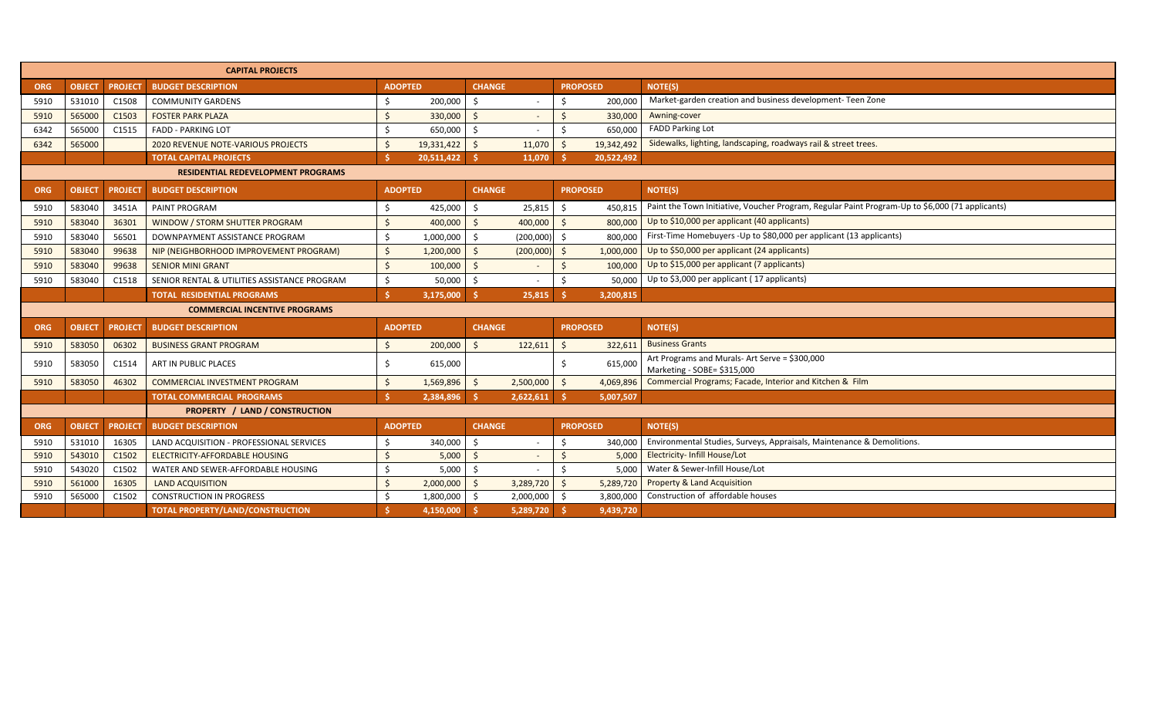|            |                                      |                | <b>CAPITAL PROJECTS</b>                      |                |            |               |           |                    |            |                                                                                                 |
|------------|--------------------------------------|----------------|----------------------------------------------|----------------|------------|---------------|-----------|--------------------|------------|-------------------------------------------------------------------------------------------------|
| <b>ORG</b> | <b>OBJECT</b>                        | <b>PROJECT</b> | <b>BUDGET DESCRIPTION</b>                    | <b>ADOPTED</b> |            | <b>CHANGE</b> |           | <b>PROPOSED</b>    |            | <b>NOTE(S)</b>                                                                                  |
| 5910       | 531010                               | C1508          | <b>COMMUNITY GARDENS</b>                     |                | 200,000    | Ś.            |           | Ś.                 | 200,000    | Market-garden creation and business development- Teen Zone                                      |
| 5910       | 565000                               | C1503          | <b>FOSTER PARK PLAZA</b>                     |                | 330,000    | Ś.            |           |                    | 330,000    | Awning-cover                                                                                    |
| 6342       | 565000                               | C1515          | <b>FADD - PARKING LOT</b>                    | $\zeta$        | 650,000    | Ś.            |           | \$                 | 650,000    | <b>FADD Parking Lot</b>                                                                         |
| 6342       | 565000                               |                | 2020 REVENUE NOTE-VARIOUS PROJECTS           |                | 19,331,422 | Ŝ.            | 11,070    |                    | 19,342,492 | Sidewalks, lighting, landscaping, roadways rail & street trees                                  |
|            |                                      |                | <b>TOTAL CAPITAL PROJECTS</b>                |                | 20,511,422 |               | 11,070    |                    | 20,522,492 |                                                                                                 |
|            |                                      |                | <b>RESIDENTIAL REDEVELOPMENT PROGRAMS</b>    |                |            |               |           |                    |            |                                                                                                 |
| <b>ORG</b> | <b>OBJECT</b>                        | <b>PROJECT</b> | <b>BUDGET DESCRIPTION</b>                    | <b>ADOPTED</b> |            | <b>CHANGE</b> |           | <b>PROPOSED</b>    |            | NOTE(S)                                                                                         |
| 5910       | 583040                               | 3451A          | PAINT PROGRAM                                |                | 425,000    | \$            | 25,815    | Ŝ.                 | 450.815    | Paint the Town Initiative, Voucher Program, Regular Paint Program-Up to \$6,000 (71 applicants) |
| 5910       | 583040                               | 36301          | WINDOW / STORM SHUTTER PROGRAM               |                | 400,000    | Ś.            | 400,000   | Ś.                 | 800,000    | Up to \$10,000 per applicant (40 applicants)                                                    |
| 5910       | 583040                               | 56501          | DOWNPAYMENT ASSISTANCE PROGRAM               |                | 1,000,000  | Ś.            | (200,000) | Ś.                 | 800.000    | First-Time Homebuyers -Up to \$80,000 per applicant (13 applicants)                             |
| 5910       | 583040                               | 99638          | NIP (NEIGHBORHOOD IMPROVEMENT PROGRAM)       | Ś.             | 1,200,000  | Ś.            | (200,000) | Ś.                 | 1,000,000  | Up to \$50,000 per applicant (24 applicants)                                                    |
| 5910       | 583040                               | 99638          | <b>SENIOR MINI GRANT</b>                     | Ś              | 100,000    | Ŝ.            |           | $\mathsf{\hat{S}}$ | 100,000    | Up to \$15,000 per applicant (7 applicants)                                                     |
| 5910       | 583040                               | C1518          | SENIOR RENTAL & UTILITIES ASSISTANCE PROGRAM |                | 50,000     | Ś.            |           |                    | 50.000     | Up to \$3,000 per applicant (17 applicants)                                                     |
|            |                                      |                | <b>TOTAL RESIDENTIAL PROGRAMS</b>            |                | 3,175,000  | Š.            | 25,815    |                    | 3,200,815  |                                                                                                 |
|            | <b>COMMERCIAL INCENTIVE PROGRAMS</b> |                |                                              |                |            |               |           |                    |            |                                                                                                 |
| <b>ORG</b> | <b>OBJECT</b>                        | <b>PROJECT</b> | <b>BUDGET DESCRIPTION</b>                    | <b>ADOPTED</b> |            | <b>CHANGE</b> |           | <b>PROPOSED</b>    |            | <b>NOTE(S)</b>                                                                                  |
| 5910       | 583050                               | 06302          | <b>BUSINESS GRANT PROGRAM</b>                | Ś.             | 200,000    | Ś.            | 122,611   | Ś.                 | 322,611    | <b>Business Grants</b>                                                                          |
| 5910       | 583050                               | C1514          | ART IN PUBLIC PLACES                         |                | 615,000    |               |           | Ś.                 | 615,000    | Art Programs and Murals-Art Serve = \$300,000<br>Marketing - SOBE= \$315,000                    |
| 5910       | 583050                               | 46302          | <b>COMMERCIAL INVESTMENT PROGRAM</b>         |                | 1,569,896  | Ś.            | 2,500,000 | Ŝ.                 | 4,069,896  | Commercial Programs; Facade, Interior and Kitchen & Film                                        |
|            |                                      |                | <b>TOTAL COMMERCIAL PROGRAMS</b>             |                | 2,384,896  | -Ś.           | 2,622,611 | -Ś.                | 5,007,507  |                                                                                                 |
|            |                                      |                | <b>PROPERTY / LAND / CONSTRUCTION</b>        |                |            |               |           |                    |            |                                                                                                 |
| <b>ORG</b> | <b>OBJECT</b>                        | <b>PROJECT</b> | <b>BUDGET DESCRIPTION</b>                    | <b>ADOPTED</b> |            | <b>CHANGE</b> |           | <b>PROPOSED</b>    |            | NOTE(S)                                                                                         |
| 5910       | 531010                               | 16305          | LAND ACQUISITION - PROFESSIONAL SERVICES     | Ŝ.             | 340,000    | Ś.            |           | Ŝ.                 | 340,000    | Environmental Studies, Surveys, Appraisals, Maintenance & Demolitions.                          |
| 5910       | 543010                               | C1502          | ELECTRICITY-AFFORDABLE HOUSING               |                | 5,000      | $\mathsf{S}$  |           |                    | 5,000      | <b>Electricity- Infill House/Lot</b>                                                            |
| 5910       | 543020                               | C1502          | WATER AND SEWER-AFFORDABLE HOUSING           |                | 5,000      | Ŝ.            |           |                    | 5,000      | Water & Sewer-Infill House/Lot                                                                  |
| 5910       | 561000                               | 16305          | <b>LAND ACQUISITION</b>                      |                | 2,000,000  | Ŝ.            | 3,289,720 | $\mathsf{S}$       | 5,289,720  | <b>Property &amp; Land Acquisition</b>                                                          |
| 5910       | 565000                               | C1502          | <b>CONSTRUCTION IN PROGRESS</b>              |                | 1,800,000  | Ŝ.            | 2,000,000 | Ś.                 | 3,800,000  | Construction of affordable houses                                                               |
|            |                                      |                | TOTAL PROPERTY/LAND/CONSTRUCTION             |                | 4.150.000  | - \$          | 5,289,720 |                    | 9,439,720  |                                                                                                 |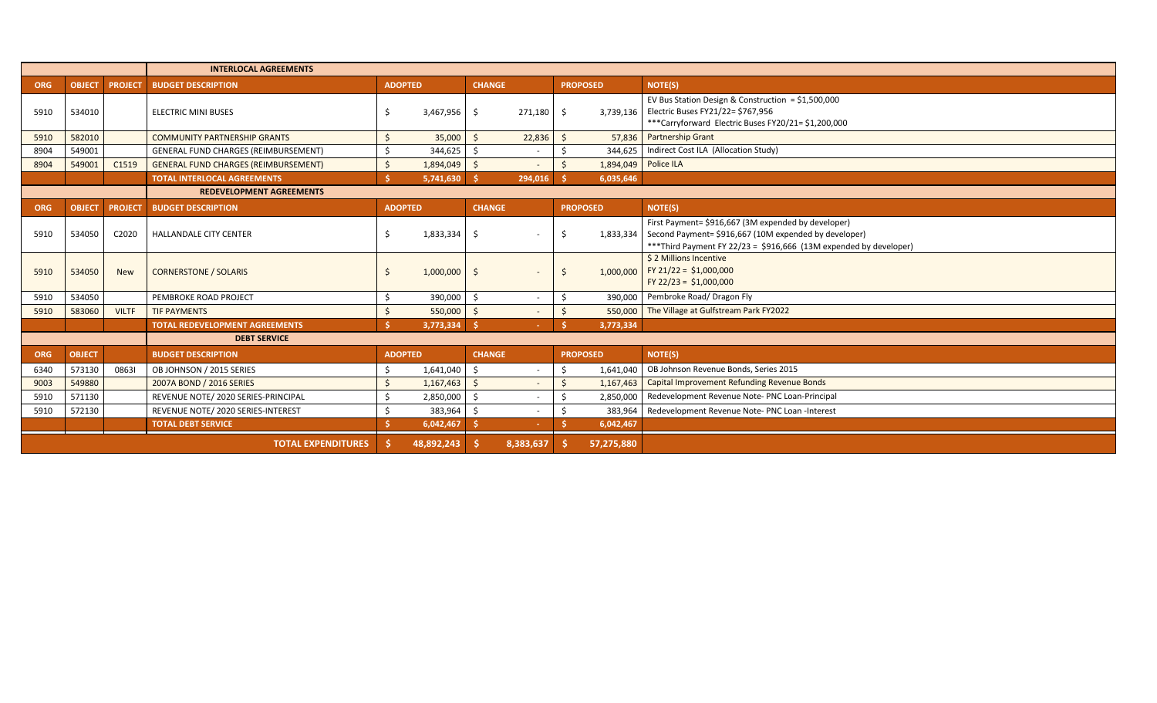|            |               |                | <b>INTERLOCAL AGREEMENTS</b>                |                |            |                     |                          |                                 |                                                                                                                                                                                    |  |  |  |  |  |  |
|------------|---------------|----------------|---------------------------------------------|----------------|------------|---------------------|--------------------------|---------------------------------|------------------------------------------------------------------------------------------------------------------------------------------------------------------------------------|--|--|--|--|--|--|
| <b>ORG</b> | <b>OBJECT</b> | <b>PROJECT</b> | <b>BUDGET DESCRIPTION</b>                   | <b>ADOPTED</b> |            | <b>CHANGE</b>       |                          | <b>PROPOSED</b>                 | <b>NOTE(S)</b>                                                                                                                                                                     |  |  |  |  |  |  |
| 5910       | 534010        |                | <b>ELECTRIC MINI BUSES</b>                  |                | 3,467,956  | S.                  | 271,180                  | Ŝ.                              | EV Bus Station Design & Construction = $$1,500,000$<br>3,739,136   Electric Buses FY21/22= \$767,956<br>***Carryforward Electric Buses FY20/21= \$1,200,000                        |  |  |  |  |  |  |
| 5910       | 582010        |                | <b>COMMUNITY PARTNERSHIP GRANTS</b>         |                | 35,000     | Ŝ.                  | 22,836                   | 57,836                          | <b>Partnership Grant</b>                                                                                                                                                           |  |  |  |  |  |  |
| 8904       | 549001        |                | GENERAL FUND CHARGES (REIMBURSEMENT)        |                | 344,625    |                     | $\overline{\phantom{a}}$ |                                 | 344.625   Indirect Cost ILA (Allocation Study)                                                                                                                                     |  |  |  |  |  |  |
| 8904       | 549001        | C1519          | <b>GENERAL FUND CHARGES (REIMBURSEMENT)</b> |                | 1,894,049  | $\ddot{\mathsf{S}}$ | $\sim$                   | 1,894,049 Police ILA<br>$\zeta$ |                                                                                                                                                                                    |  |  |  |  |  |  |
|            |               |                | <b>TOTAL INTERLOCAL AGREEMENTS</b>          |                | 5,741,630  | - \$                | 294,016                  | 6,035,646                       |                                                                                                                                                                                    |  |  |  |  |  |  |
|            |               |                | <b>REDEVELOPMENT AGREEMENTS</b>             |                |            |                     |                          |                                 |                                                                                                                                                                                    |  |  |  |  |  |  |
| <b>ORG</b> | <b>OBJECT</b> | <b>PROJECT</b> | <b>BUDGET DESCRIPTION</b>                   | <b>ADOPTED</b> |            | <b>CHANGE</b>       |                          | <b>PROPOSED</b>                 | <b>NOTE(S)</b>                                                                                                                                                                     |  |  |  |  |  |  |
| 5910       | 534050        | C2020          | HALLANDALE CITY CENTER                      |                | 1,833,334  | -Ŝ                  |                          | 1,833,334<br>Ŝ                  | First Payment= \$916,667 (3M expended by developer)<br>Second Payment= \$916,667 (10M expended by developer)<br>*** Third Payment FY 22/23 = \$916,666 (13M expended by developer) |  |  |  |  |  |  |
| 5910       | 534050        | <b>New</b>     | <b>CORNERSTONE / SOLARIS</b>                |                | 1,000,000  | .S                  |                          | 1,000,000<br>Ŝ.                 | \$ 2 Millions Incentive<br>FY 21/22 = \$1,000,000<br>FY 22/23 = \$1,000,000                                                                                                        |  |  |  |  |  |  |
| 5910       | 534050        |                | PEMBROKE ROAD PROJECT                       |                | 390,000    | Ŝ.                  | $\sim$                   | 390.000                         | Pembroke Road/ Dragon Fly                                                                                                                                                          |  |  |  |  |  |  |
| 5910       | 583060        | <b>VILTF</b>   | <b>TIF PAYMENTS</b>                         |                | 550,000    | Ŝ.                  |                          | 550.000<br>$\zeta$              | The Village at Gulfstream Park FY2022                                                                                                                                              |  |  |  |  |  |  |
|            |               |                | <b>TOTAL REDEVELOPMENT AGREEMENTS</b>       |                | 3,773,334  |                     |                          | 3,773,334                       |                                                                                                                                                                                    |  |  |  |  |  |  |
|            |               |                | <b>DEBT SERVICE</b>                         |                |            |                     |                          |                                 |                                                                                                                                                                                    |  |  |  |  |  |  |
| <b>ORG</b> | <b>OBJECT</b> |                | <b>BUDGET DESCRIPTION</b>                   | <b>ADOPTED</b> |            | <b>CHANGE</b>       |                          | <b>PROPOSED</b>                 | NOTE(S)                                                                                                                                                                            |  |  |  |  |  |  |
| 6340       | 573130        | 08631          | OB JOHNSON / 2015 SERIES                    |                | 1,641,040  | Ŝ.                  |                          | 1.641.040<br>Ś.                 | OB Johnson Revenue Bonds, Series 2015                                                                                                                                              |  |  |  |  |  |  |
| 9003       | 549880        |                | 2007A BOND / 2016 SERIES                    |                | 1,167,463  | Ŝ.                  |                          | 1,167,463                       | <b>Capital Improvement Refunding Revenue Bonds</b>                                                                                                                                 |  |  |  |  |  |  |
| 5910       | 571130        |                | REVENUE NOTE/ 2020 SERIES-PRINCIPAL         |                | 2,850,000  | Ś                   |                          | 2,850,000                       | Redevelopment Revenue Note- PNC Loan-Principal                                                                                                                                     |  |  |  |  |  |  |
| 5910       | 572130        |                | REVENUE NOTE/ 2020 SERIES-INTEREST          |                | 383,964    | Š.                  |                          | 383,964                         | Redevelopment Revenue Note- PNC Loan -Interest                                                                                                                                     |  |  |  |  |  |  |
|            |               |                | <b>TOTAL DEBT SERVICE</b>                   |                | 6,042,467  |                     |                          | 6,042,467                       |                                                                                                                                                                                    |  |  |  |  |  |  |
|            |               |                | <b>TOTAL EXPENDITURES</b>                   |                | 48,892,243 |                     | 8,383,637                | 57,275,880                      |                                                                                                                                                                                    |  |  |  |  |  |  |